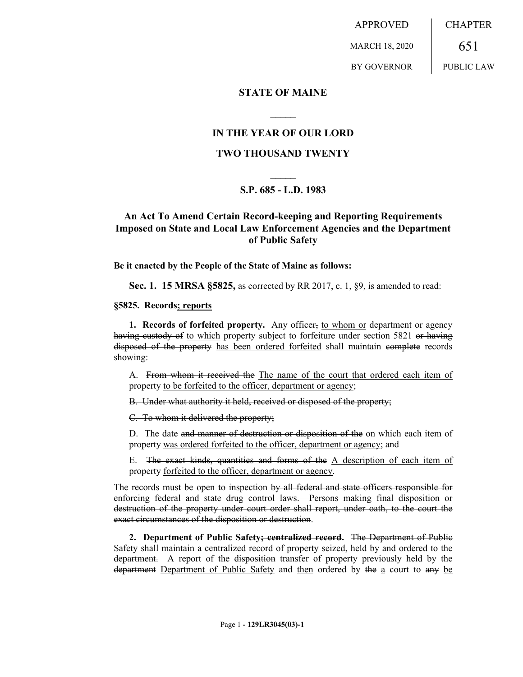APPROVED MARCH 18, 2020 BY GOVERNOR CHAPTER 651 PUBLIC LAW

### **STATE OF MAINE**

### **IN THE YEAR OF OUR LORD**

**\_\_\_\_\_**

### **TWO THOUSAND TWENTY**

# **\_\_\_\_\_ S.P. 685 - L.D. 1983**

## **An Act To Amend Certain Record-keeping and Reporting Requirements Imposed on State and Local Law Enforcement Agencies and the Department of Public Safety**

**Be it enacted by the People of the State of Maine as follows:**

**Sec. 1. 15 MRSA §5825,** as corrected by RR 2017, c. 1, §9, is amended to read:

#### **§5825. Records; reports**

**1. Records of forfeited property.** Any officer, to whom or department or agency having custody of to which property subject to forfeiture under section 5821 or having disposed of the property has been ordered forfeited shall maintain complete records showing:

A. From whom it received the The name of the court that ordered each item of property to be forfeited to the officer, department or agency;

B. Under what authority it held, received or disposed of the property;

C. To whom it delivered the property;

D. The date and manner of destruction or disposition of the on which each item of property was ordered forfeited to the officer, department or agency; and

E. The exact kinds, quantities and forms of the  $A$  description of each item of property forfeited to the officer, department or agency.

The records must be open to inspection by all federal and state officers responsible for enforcing federal and state drug control laws. Persons making final disposition or destruction of the property under court order shall report, under oath, to the court the exact circumstances of the disposition or destruction.

**2. Department of Public Safety; centralized record.** The Department of Public Safety shall maintain a centralized record of property seized, held by and ordered to the department. A report of the disposition transfer of property previously held by the department Department of Public Safety and then ordered by the a court to any be